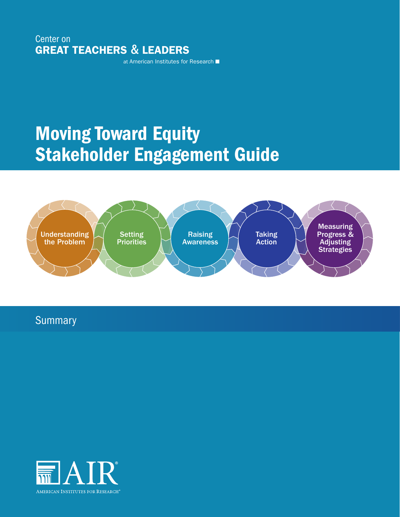Center on GREAT TEACHERS & LEADERS

at American Institutes for Research

# Moving Toward Equity Stakeholder Engagement Guide



**Summary** 

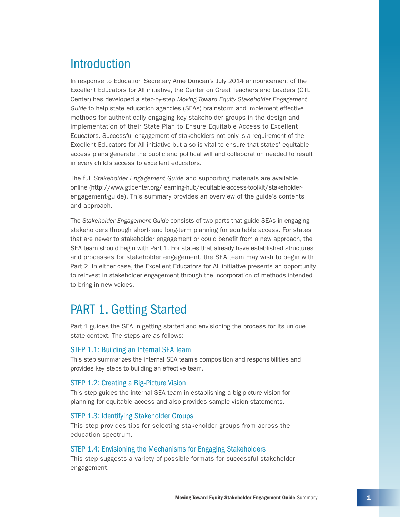# Introduction

In response to Education Secretary Arne Duncan's July 2014 announcement of the Excellent Educators for All initiative, the Center on Great Teachers and Leaders (GTL Center) has developed a step-by-step *Moving Toward Equity Stakeholder Engagement Guide* to help state education agencies (SEAs) brainstorm and implement effective methods for authentically engaging key stakeholder groups in the design and implementation of their State Plan to Ensure Equitable Access to Excellent Educators. Successful engagement of stakeholders not only is a requirement of the Excellent Educators for All initiative but also is vital to ensure that states' equitable access plans generate the public and political will and collaboration needed to result in every child's access to excellent educators.

The full *Stakeholder Engagement Guide* and supporting materials are available online ([http://www.gtlcenter.org/learning-hub/equitable-access-toolkit/stakeholder](http://www.gtlcenter.org/learning-hub/equitable-access-toolkit/stakeholder-engagement-guide)[engagement-guide\)](http://www.gtlcenter.org/learning-hub/equitable-access-toolkit/stakeholder-engagement-guide). This summary provides an overview of the guide's contents and approach.

The *Stakeholder Engagement Guide* consists of two parts that guide SEAs in engaging stakeholders through short- and long-term planning for equitable access. For states that are newer to stakeholder engagement or could benefit from a new approach, the SEA team should begin with Part 1. For states that already have established structures and processes for stakeholder engagement, the SEA team may wish to begin with Part 2. In either case, the Excellent Educators for All initiative presents an opportunity to reinvest in stakeholder engagement through the incorporation of methods intended to bring in new voices.

# PART 1. Getting Started

Part 1 guides the SEA in getting started and envisioning the process for its unique state context. The steps are as follows:

### STEP 1.1: Building an Internal SEA Team

This step summarizes the internal SEA team's composition and responsibilities and provides key steps to building an effective team.

### STEP 1.2: Creating a Big-Picture Vision

This step guides the internal SEA team in establishing a big-picture vision for planning for equitable access and also provides sample vision statements.

### STEP 1.3: Identifying Stakeholder Groups

This step provides tips for selecting stakeholder groups from across the education spectrum.

### STEP 1.4: Envisioning the Mechanisms for Engaging Stakeholders

This step suggests a variety of possible formats for successful stakeholder engagement.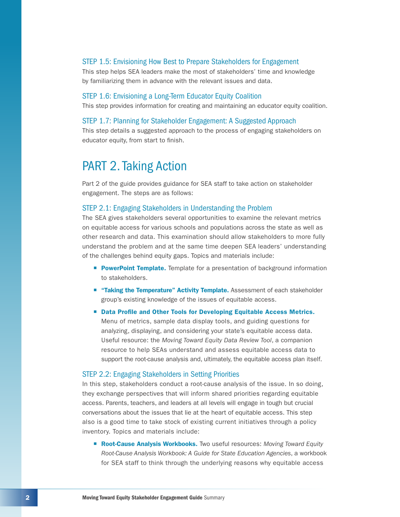### STEP 1.5: Envisioning How Best to Prepare Stakeholders for Engagement

This step helps SEA leaders make the most of stakeholders' time and knowledge by familiarizing them in advance with the relevant issues and data.

#### STEP 1.6: Envisioning a Long-Term Educator Equity Coalition

This step provides information for creating and maintaining an educator equity coalition.

#### STEP 1.7: Planning for Stakeholder Engagement: A Suggested Approach

This step details a suggested approach to the process of engaging stakeholders on educator equity, from start to finish.

## PART 2. Taking Action

Part 2 of the guide provides guidance for SEA staff to take action on stakeholder engagement. The steps are as follows:

### STEP 2.1: Engaging Stakeholders in Understanding the Problem

The SEA gives stakeholders several opportunities to examine the relevant metrics on equitable access for various schools and populations across the state as well as other research and data. This examination should allow stakeholders to more fully understand the problem and at the same time deepen SEA leaders' understanding of the challenges behind equity gaps. Topics and materials include:

- **PowerPoint Template.** Template for a presentation of background information to stakeholders.
- **Taking the Temperature" Activity Template.** Assessment of each stakeholder group's existing knowledge of the issues of equitable access.
- ¡ Data Profile and Other Tools for Developing Equitable Access Metrics. Menu of metrics, sample data display tools, and guiding questions for analyzing, displaying, and considering your state's equitable access data. Useful resource: the *Moving Toward Equity Data Review Tool*, a companion resource to help SEAs understand and assess equitable access data to support the root-cause analysis and, ultimately, the equitable access plan itself.

### STEP 2.2: Engaging Stakeholders in Setting Priorities

In this step, stakeholders conduct a root-cause analysis of the issue. In so doing, they exchange perspectives that will inform shared priorities regarding equitable access. Parents, teachers, and leaders at all levels will engage in tough but crucial conversations about the issues that lie at the heart of equitable access. This step also is a good time to take stock of existing current initiatives through a policy inventory. Topics and materials include:

■ **Root-Cause Analysis Workbooks.** Two useful resources: Moving Toward Equity *Root-Cause Analysis Workbook: A Guide for State Education Agencies*, a workbook for SEA staff to think through the underlying reasons why equitable access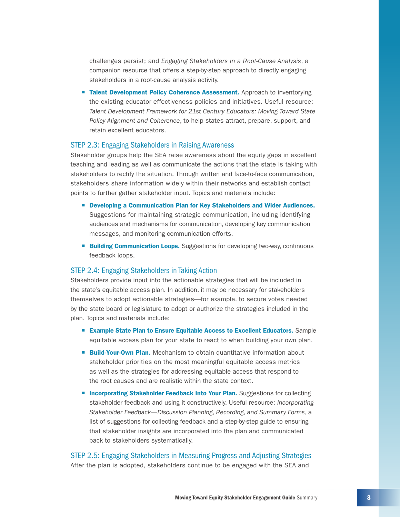challenges persist; and *Engaging Stakeholders in a Root-Cause Analysis*, a companion resource that offers a step-by-step approach to directly engaging stakeholders in a root-cause analysis activity.

**Talent Development Policy Coherence Assessment.** Approach to inventorying the existing educator effectiveness policies and initiatives. Useful resource: *Talent Development Framework for 21st Century Educators: Moving Toward State Policy Alignment and Coherence*, to help states attract, prepare, support, and retain excellent educators.

#### STEP 2.3: Engaging Stakeholders in Raising Awareness

Stakeholder groups help the SEA raise awareness about the equity gaps in excellent teaching and leading as well as communicate the actions that the state is taking with stakeholders to rectify the situation. Through written and face-to-face communication, stakeholders share information widely within their networks and establish contact points to further gather stakeholder input. Topics and materials include:

- Developing a Communication Plan for Key Stakeholders and Wider Audiences. Suggestions for maintaining strategic communication, including identifying audiences and mechanisms for communication, developing key communication messages, and monitoring communication efforts.
- **E** Building Communication Loops. Suggestions for developing two-way, continuous feedback loops.

### STEP 2.4: Engaging Stakeholders in Taking Action

Stakeholders provide input into the actionable strategies that will be included in the state's equitable access plan. In addition, it may be necessary for stakeholders themselves to adopt actionable strategies—for example, to secure votes needed by the state board or legislature to adopt or authorize the strategies included in the plan. Topics and materials include:

- Example State Plan to Ensure Equitable Access to Excellent Educators. Sample equitable access plan for your state to react to when building your own plan.
- **E** Build-Your-Own Plan. Mechanism to obtain quantitative information about stakeholder priorities on the most meaningful equitable access metrics as well as the strategies for addressing equitable access that respond to the root causes and are realistic within the state context.
- **<u>■ Incorporating Stakeholder Feedback Into Your Plan.** Suggestions for collecting</u> stakeholder feedback and using it constructively. Useful resource: *Incorporating Stakeholder Feedback—Discussion Planning, Recording, and Summary Forms*, a list of suggestions for collecting feedback and a step-by-step guide to ensuring that stakeholder insights are incorporated into the plan and communicated back to stakeholders systematically.

### STEP 2.5: Engaging Stakeholders in Measuring Progress and Adjusting Strategies After the plan is adopted, stakeholders continue to be engaged with the SEA and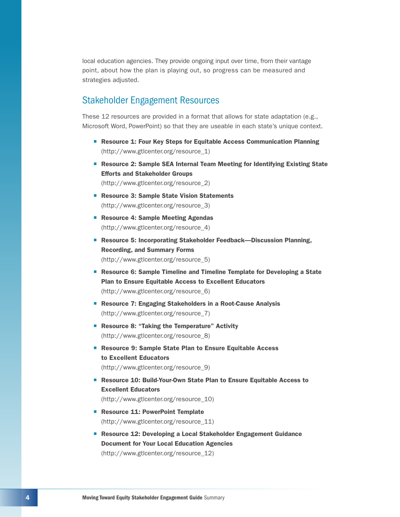local education agencies. They provide ongoing input over time, from their vantage point, about how the plan is playing out, so progress can be measured and strategies adjusted.

### Stakeholder Engagement Resources

These 12 resources are provided in a format that allows for state adaptation (e.g., Microsoft Word, PowerPoint) so that they are useable in each state's unique context.

- Resource 1: Four Key Steps for Equitable Access Communication Planning (http://www.gtlcenter.org/resource\_1)
- Resource 2: Sample SEA Internal Team Meeting for Identifying Existing State Efforts and Stakeholder Groups (http://www.gtlcenter.org/resource\_2)
- Resource 3: Sample State Vision Statements (http://www.gtlcenter.org/resource\_3)
- Resource 4: Sample Meeting Agendas (http://www.gtlcenter.org/resource\_4)
- Resource 5: Incorporating Stakeholder Feedback—Discussion Planning, Recording, and Summary Forms (http://www.gtlcenter.org/resource\_5)
- Resource 6: Sample Timeline and Timeline Template for Developing a State Plan to Ensure Equitable Access to Excellent Educators (http://www.gtlcenter.org/resource\_6)
- Resource 7: Engaging Stakeholders in a Root-Cause Analysis (http://www.gtlcenter.org/resource\_7)
- Resource 8: "Taking the Temperature" Activity (http://www.gtlcenter.org/resource\_8)
- Resource 9: Sample State Plan to Ensure Equitable Access to Excellent Educators (http://www.gtlcenter.org/resource\_9)
- Resource 10: Build-Your-Own State Plan to Ensure Equitable Access to Excellent Educators (http://www.gtlcenter.org/resource\_10)
- Resource 11: PowerPoint Template (http://www.gtlcenter.org/resource\_11)
- Resource 12: Developing a Local Stakeholder Engagement Guidance Document for Your Local Education Agencies (http://www.gtlcenter.org/resource\_12)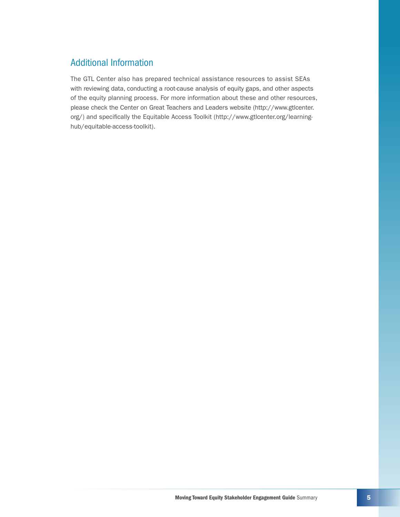### Additional Information

The GTL Center also has prepared technical assistance resources to assist SEAs with reviewing data, conducting a root-cause analysis of equity gaps, and other aspects of the equity planning process. For more information about these and other resources, please check the Center on Great Teachers and Leaders website [\(http://www.gtlcenter.](http://www.gtlcenter.org/) [org/](http://www.gtlcenter.org/)) and specifically the Equitable Access Toolkit [\(http://www.gtlcenter.org/learning](http://www.gtlcenter.org/learning-hub/equitable-access-toolkit)[hub/equitable-access-toolkit\)](http://www.gtlcenter.org/learning-hub/equitable-access-toolkit).